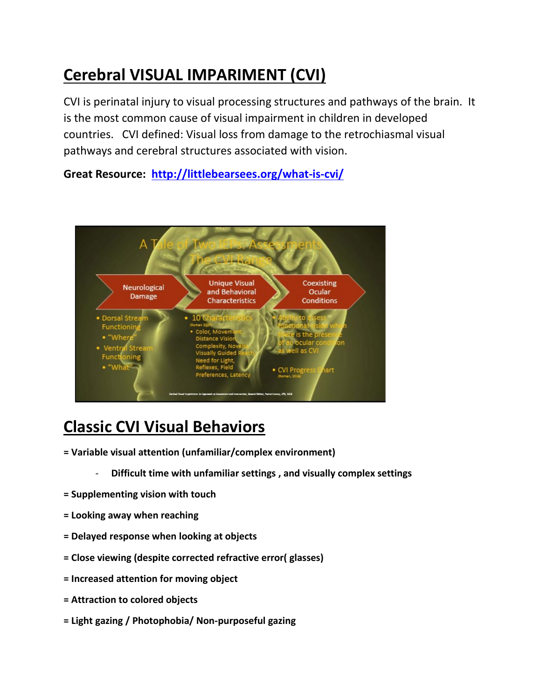# **Cerebral VISUAL IMPARIMENT (CVI)**

CVI is perinatal injury to visual processing structures and pathways of the brain. It is the most common cause of visual impairment in children in developed countries. CVI defined: Visual loss from damage to the retrochiasmal visual pathways and cerebral structures associated with vision.

**Great Resource: <http://littlebearsees.org/what-is-cvi/>**



# **Classic CVI Visual Behaviors**

- **= Variable visual attention (unfamiliar/complex environment)**
	- **Difficult time with unfamiliar settings , and visually complex settings**
- **= Supplementing vision with touch**
- **= Looking away when reaching**
- **= Delayed response when looking at objects**
- **= Close viewing (despite corrected refractive error( glasses)**
- **= Increased attention for moving object**
- **= Attraction to colored objects**
- **= Light gazing / Photophobia/ Non-purposeful gazing**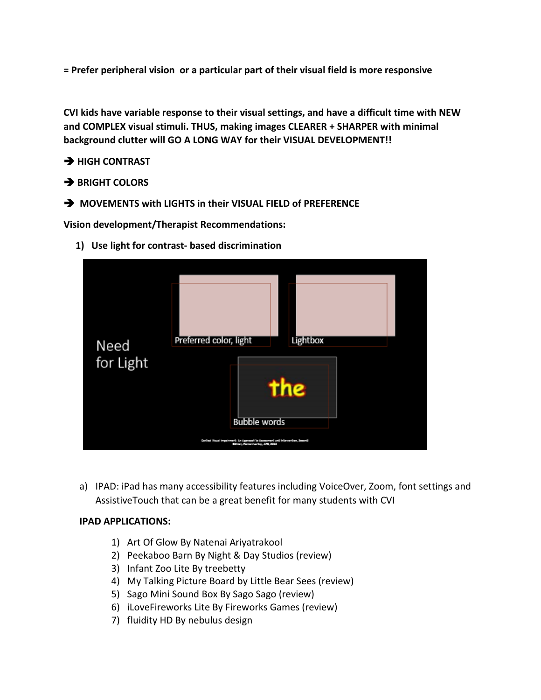**= Prefer peripheral vision or a particular part of their visual field is more responsive** 

**CVI kids have variable response to their visual settings, and have a difficult time with NEW and COMPLEX visual stimuli. THUS, making images CLEARER + SHARPER with minimal background clutter will GO A LONG WAY for their VISUAL DEVELOPMENT!!**

### $\rightarrow$  HIGH CONTRAST

**BRIGHT COLORS** 

 $\rightarrow$  **MOVEMENTS with LIGHTS in their VISUAL FIELD of PREFERENCE** 

**Vision development/Therapist Recommendations:** 

**1) Use light for contrast- based discrimination** 



a) IPAD: iPad has many [accessibility](http://www.wonderbaby.org/articles/ipad-accessibility) features including VoiceOver, Zoom, font settings and AssistiveTouch that can be a great benefit for many students with CVI

#### **IPAD APPLICATIONS:**

- 1) Art Of [Glow](https://itunes.apple.com/us/app/art-of-glow/id387680399?mt=8&ign-mpt=uo%3D4) By Natenai Ariyatrakool
- 2) [Peekaboo](https://itunes.apple.com/us/app/peekaboo-barn/id300590611?mt=8&ign-mpt=uo%3D4) Barn By Night & Day Studios [\(review\)](http://www.wonderbaby.org/articles/peekaboo-barn-app-review)
- 3) [Infant](https://itunes.apple.com/us/app/infant-zoo-lite-visual-stimulation/id677233768?mt=8&ign-mpt=uo%3D4) Zoo Lite By treebetty
- 4) My [Talking](https://itunes.apple.com/us/app/my-talking-picture-board/id586535395?mt=8&ign-mpt=uo%3D4) Picture Board by Little Bear Sees [\(review\)](http://www.wonderbaby.org/articles/my-talking-picture-board-app-review)
- 5) Sago Mini [Sound](https://itunes.apple.com/us/app/sago-mini-sound-box/id640709006?mt=8&ign-mpt=uo%3D4) Box By Sago Sago [\(review\)](http://www.wonderbaby.org/articles/sound-shaker-app-review)
- 6) [iLoveFireworks Lite](https://itunes.apple.com/us/app/ilovefireworkslite/id305321745?mt=8&ign-mpt=uo%3D4) By Fireworks Games [\(review\)](http://www.wonderbaby.org/articles/fireworks-app-review)
- 7) [fluidity](https://itunes.apple.com/us/app/fluidity-hd/id399403909?mt=8&ign-mpt=uo%3D4) HD By nebulus design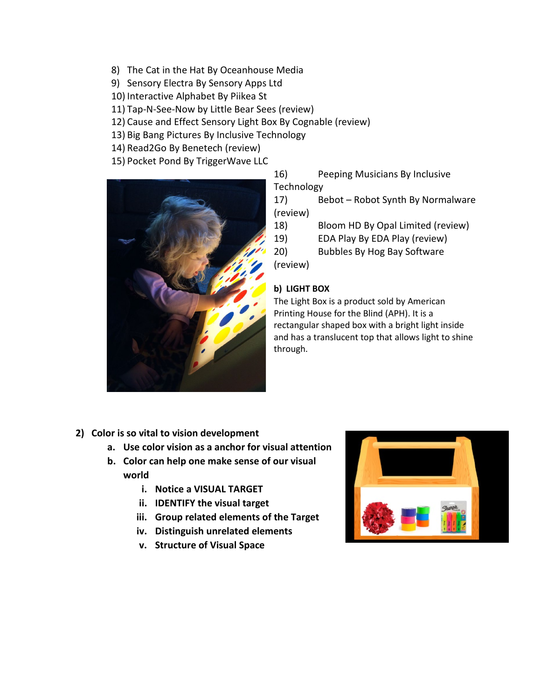- 8) [The](https://itunes.apple.com/us/app/the-cat-in-the-hat-dr.-seuss/id353473931?mt=8&ign-mpt=uo%3D4) Cat in the Hat By Oceanhouse Media
- 9) [Sensory](https://itunes.apple.com/us/app/sensory-electra/id639580740?mt=8&ign-mpt=uo%3D4) Electra By Sensory Apps Ltd
- 10) [Interactive](https://itunes.apple.com/us/app/interactive-alphabet/id383967580?mt=8&ign-mpt=uo%3D4) Alphabet By Piikea St
- 11) [Tap-N-See-Now](https://itunes.apple.com/us/app/tap-n-see-zoo/id491247565?mt=8&ign-mpt=uo%3D4) by Little Bear Sees [\(review\)](http://www.wonderbaby.org/articles/tap-n-see-app-review)
- 12) Cause and Effect [Sensory](https://itunes.apple.com/us/app/cause-effect-sensory-light/id533976433?mt=8&ign-mpt=uo%3D4) Light Box By Cognable [\(review\)](http://www.wonderbaby.org/articles/sensory-light-box-app-review)
- 13) Big Bang [Pictures](https://itunes.apple.com/us/app/big-bang-pictures/id586617928?mt=8&ign-mpt=uo%3D4) By Inclusive Technology
- 14) [Read2Go](https://itunes.apple.com/us/app/read2go/id425585903?mt=8&ign-mpt=uo%3D4) By Benetech [\(review\)](http://www.wonderbaby.org/articles/literacy-made-accessible)
- 15) [Pocket](https://itunes.apple.com/us/app/pocket-pond-hd/id370256313?mt=8&ign-mpt=uo%3D4) Pond By TriggerWave LLC



16) Peeping [Musicians](https://itunes.apple.com/us/app/peeping-musicians/id490120210?mt=8&ign-mpt=uo%3D4) By Inclusive Technology

17) [Bebot – Robot](https://itunes.apple.com/us/app/bebot-robot-synth/id300309944?mt=8&ign-mpt=uo%3D4) Synth By Normalware [\(review\)](http://www.wonderbaby.org/articles/bebot-app-review)

- 18) [Bloom](https://itunes.apple.com/us/app/bloom-hd/id373957864?mt=8&ign-mpt=uo%3D4) HD By Opal Limited [\(review\)](http://www.wonderbaby.org/articles/bloom-app-review)
- 19) [EDA](https://itunes.apple.com/us/app/eda-play/id633272369?mt=8&ign-mpt=uo%3D4) Play By EDA Play [\(review\)](http://www.wonderbaby.org/articles/eda-play-app-review)

20) [Bubbles](https://itunes.apple.com/us/app/bubbles/id284288607?mt=8&ign-mpt=uo%3D4) By Hog Bay Software [\(review\)](http://www.wonderbaby.org/articles/bubbles-app-review)

### **b) LIGHT BOX**

The [Light](https://shop.aph.org/webapp/wcs/stores/servlet/ProductDisplay?storeId=10001&catalogId=11051&krypto=w%2FE%2FZ6s4BbOTWTAk7uwYkwPqZ0gDTT8mPqLLyhhVaTsq5cuSkOiPy5BjiL90i%2FEyDtBzvF%2FUJVgS%0D%0A5fzQRbG3dg%3D%3D&ddkey=http:ProductDisplay) Box is a product sold by [American](http://www.aph.org/) [Printing](http://www.aph.org/) House for the Blind (APH). It is a rectangular shaped box with a bright light inside and has a translucent top that allows light to shine through.

- **2) Color is so vital to vision development** 
	- **a. Use color vision as a anchor for visual attention**
	- **b. Color can help one make sense of our visual world** 
		- **i. Notice a VISUAL TARGET**
		- **ii. IDENTIFY the visual target**
		- **iii. Group related elements of the Target**
		- **iv. Distinguish unrelated elements**
		- **v. Structure of Visual Space**

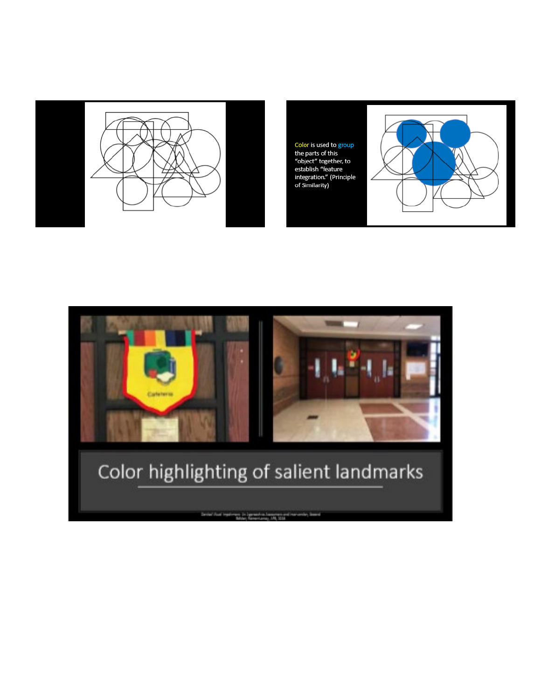

Color is used to group Color is used to group<br>the parts of this<br>"object" together, to<br>establish "feature<br>integration." (Principle<br>of Similarity)



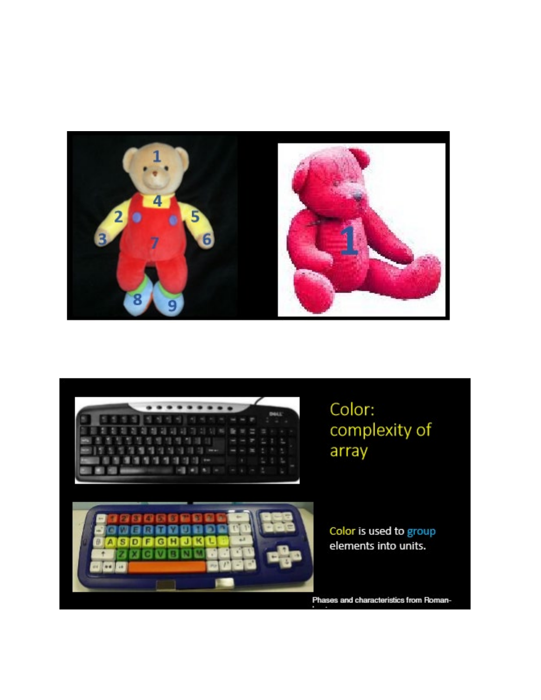



Color: complexity of array

Color is used to group elements into units.

Phases and characteristics from Roman-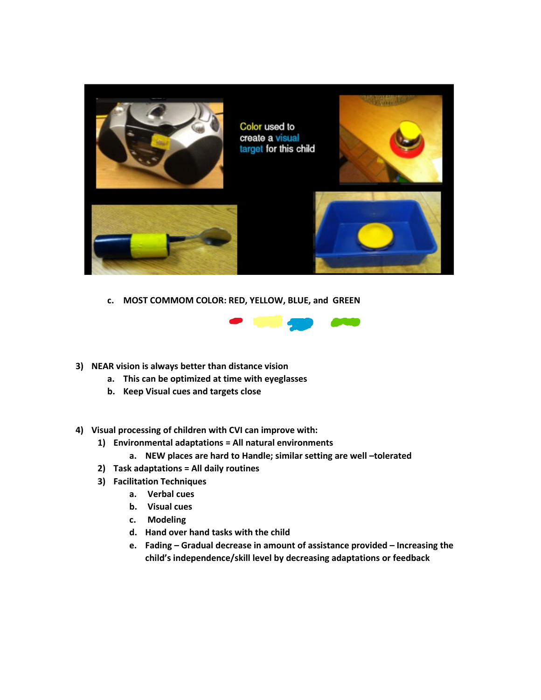

**c. MOST COMMOM COLOR: RED, YELLOW, BLUE, and GREEN**



- **3) NEAR vision is always better than distance vision** 
	- **a. This can be optimized at time with eyeglasses**
	- **b. Keep Visual cues and targets close**
- **4) Visual processing of children with CVI can improve with:**
	- **1) Environmental adaptations = All natural environments** 
		- **a. NEW places are hard to Handle; similar setting are well –tolerated**
	- **2) Task adaptations = All daily routines**
	- **3) Facilitation Techniques** 
		- **a. Verbal cues**
		- **b. Visual cues**
		- **c. Modeling**
		- **d. Hand over hand tasks with the child**
		- **e. Fading – Gradual decrease in amount of assistance provided – Increasing the child's independence/skill level by decreasing adaptations or feedback**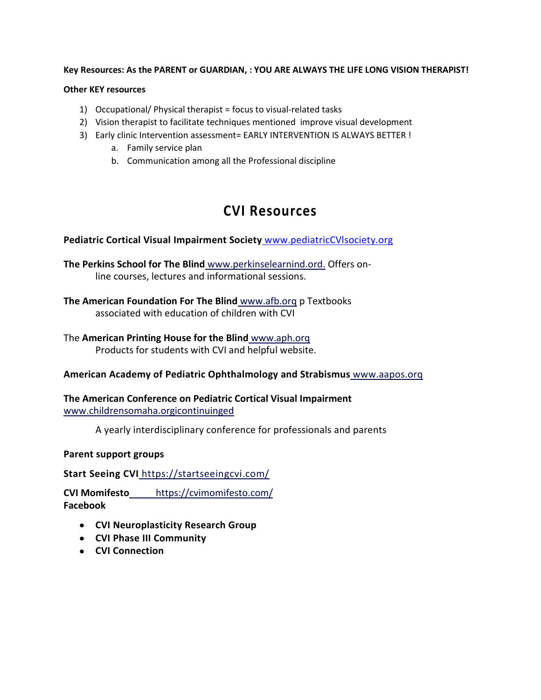#### **Key Resources: As the PARENT or GUARDIAN, : YOU ARE ALWAYS THE LIFE LONG VISION THERAPIST!**

#### **Other KEY resources**

- 1) Occupational/ Physical therapist = focus to visual-related tasks
- 2) Vision therapist to facilitate techniques mentioned improve visual development
- 3) Early clinic Intervention assessment= EARLY INTERVENTION IS ALWAYS BETTER !
	- a. Family service plan
	- b. Communication among all the Professional discipline

## **CVI Resources**

#### **Pediatric Cortical Visual Impairment Society** [www.pediatricCVlsociety.org](http://www.pediatriccvlsociety.org/)

- **The Perkins School for The Blind** www.perkinselearnind.ord. Offers online courses, lectures and informational sessions.
- **The American Foundation For The Blind** www.afb.orq p Textbooks associated with education of children with CVI
- The **American Printing House for the Blind** www.aph.orq Products for students with CVI and helpful website.

#### **American Academy of Pediatric Ophthalmology and Strabismus** www.aapos.orq

**The American Conference on Pediatric Cortical Visual Impairment**  www.childrensomaha.orgicontinuinged

A yearly interdisciplinary conference for professionals and parents

#### **Parent support groups**

**Start Seeing CVI** https://startseeingcvi.com/

**CVI Momifesto** https://cvimomifesto.com/ **Facebook**

- **CVI Neuroplasticity Research Group**
- **CVI Phase III Community**
- **CVI Connection**